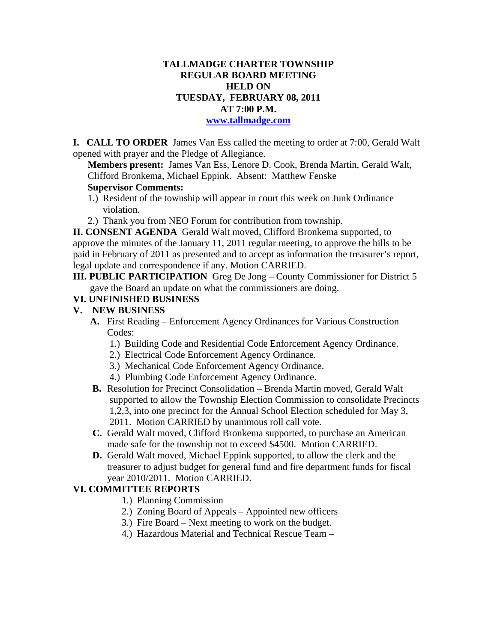## **TALLMADGE CHARTER TOWNSHIP REGULAR BOARD MEETING HELD ON TUESDAY, FEBRUARY 08, 2011 AT 7:00 P.M.**

#### **www.tallmadge.com**

**I. CALL TO ORDER** James Van Ess called the meeting to order at 7:00, Gerald Walt opened with prayer and the Pledge of Allegiance.

**Members present:** James Van Ess, Lenore D. Cook, Brenda Martin, Gerald Walt, Clifford Bronkema, Michael Eppink. Absent: Matthew Fenske **Supervisor Comments:** 

- 
- 1.) Resident of the township will appear in court this week on Junk Ordinance violation.
- 2.) Thank you from NEO Forum for contribution from township.

**II. CONSENT AGENDA** Gerald Walt moved, Clifford Bronkema supported, to approve the minutes of the January 11, 2011 regular meeting, to approve the bills to be paid in February of 2011 as presented and to accept as information the treasurer's report, legal update and correspondence if any. Motion CARRIED.

**III. PUBLIC PARTICIPATION** Greg De Jong – County Commissioner for District 5 gave the Board an update on what the commissioners are doing.

### **VI. UNFINISHED BUSINESS**

#### **V. NEW BUSINESS**

- **A.** First Reading Enforcement Agency Ordinances for Various Construction Codes:
	- 1.) Building Code and Residential Code Enforcement Agency Ordinance.
	- 2.) Electrical Code Enforcement Agency Ordinance.
	- 3.) Mechanical Code Enforcement Agency Ordinance.
	- 4.) Plumbing Code Enforcement Agency Ordinance.
- **B.** Resolution for Precinct Consolidation Brenda Martin moved, Gerald Walt supported to allow the Township Election Commission to consolidate Precincts 1,2,3, into one precinct for the Annual School Election scheduled for May 3, 2011. Motion CARRIED by unanimous roll call vote.
- **C.** Gerald Walt moved, Clifford Bronkema supported, to purchase an American made safe for the township not to exceed \$4500. Motion CARRIED.
- **D.** Gerald Walt moved, Michael Eppink supported, to allow the clerk and the treasurer to adjust budget for general fund and fire department funds for fiscal year 2010/2011. Motion CARRIED.

#### **VI. COMMITTEE REPORTS**

- 1.) Planning Commission
- 2.) Zoning Board of Appeals Appointed new officers
- 3.) Fire Board Next meeting to work on the budget.
- 4.) Hazardous Material and Technical Rescue Team –